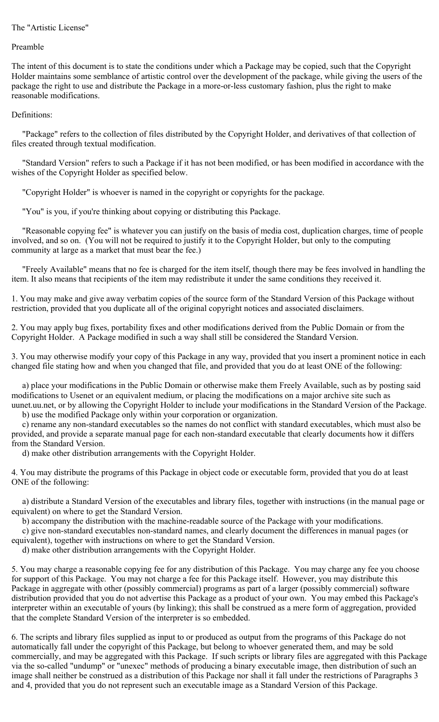## The "Artistic License"

## Preamble

The intent of this document is to state the conditions under which a Package may be copied, such that the Copyright Holder maintains some semblance of artistic control over the development of the package, while giving the users of the package the right to use and distribute the Package in a more-or-less customary fashion, plus the right to make reasonable modifications.

## Definitions:

 "Package" refers to the collection of files distributed by the Copyright Holder, and derivatives of that collection of files created through textual modification.

 "Standard Version" refers to such a Package if it has not been modified, or has been modified in accordance with the wishes of the Copyright Holder as specified below.

"Copyright Holder" is whoever is named in the copyright or copyrights for the package.

"You" is you, if you're thinking about copying or distributing this Package.

 "Reasonable copying fee" is whatever you can justify on the basis of media cost, duplication charges, time of people involved, and so on. (You will not be required to justify it to the Copyright Holder, but only to the computing community at large as a market that must bear the fee.)

 "Freely Available" means that no fee is charged for the item itself, though there may be fees involved in handling the item. It also means that recipients of the item may redistribute it under the same conditions they received it.

1. You may make and give away verbatim copies of the source form of the Standard Version of this Package without restriction, provided that you duplicate all of the original copyright notices and associated disclaimers.

2. You may apply bug fixes, portability fixes and other modifications derived from the Public Domain or from the Copyright Holder. A Package modified in such a way shall still be considered the Standard Version.

3. You may otherwise modify your copy of this Package in any way, provided that you insert a prominent notice in each changed file stating how and when you changed that file, and provided that you do at least ONE of the following:

 a) place your modifications in the Public Domain or otherwise make them Freely Available, such as by posting said modifications to Usenet or an equivalent medium, or placing the modifications on a major archive site such as uunet.uu.net, or by allowing the Copyright Holder to include your modifications in the Standard Version of the Package.

b) use the modified Package only within your corporation or organization.

 c) rename any non-standard executables so the names do not conflict with standard executables, which must also be provided, and provide a separate manual page for each non-standard executable that clearly documents how it differs from the Standard Version.

d) make other distribution arrangements with the Copyright Holder.

4. You may distribute the programs of this Package in object code or executable form, provided that you do at least ONE of the following:

 a) distribute a Standard Version of the executables and library files, together with instructions (in the manual page or equivalent) on where to get the Standard Version.

b) accompany the distribution with the machine-readable source of the Package with your modifications.

 c) give non-standard executables non-standard names, and clearly document the differences in manual pages (or equivalent), together with instructions on where to get the Standard Version.

d) make other distribution arrangements with the Copyright Holder.

5. You may charge a reasonable copying fee for any distribution of this Package. You may charge any fee you choose for support of this Package. You may not charge a fee for this Package itself. However, you may distribute this Package in aggregate with other (possibly commercial) programs as part of a larger (possibly commercial) software distribution provided that you do not advertise this Package as a product of your own. You may embed this Package's interpreter within an executable of yours (by linking); this shall be construed as a mere form of aggregation, provided that the complete Standard Version of the interpreter is so embedded.

6. The scripts and library files supplied as input to or produced as output from the programs of this Package do not automatically fall under the copyright of this Package, but belong to whoever generated them, and may be sold commercially, and may be aggregated with this Package. If such scripts or library files are aggregated with this Package via the so-called "undump" or "unexec" methods of producing a binary executable image, then distribution of such an image shall neither be construed as a distribution of this Package nor shall it fall under the restrictions of Paragraphs 3 and 4, provided that you do not represent such an executable image as a Standard Version of this Package.